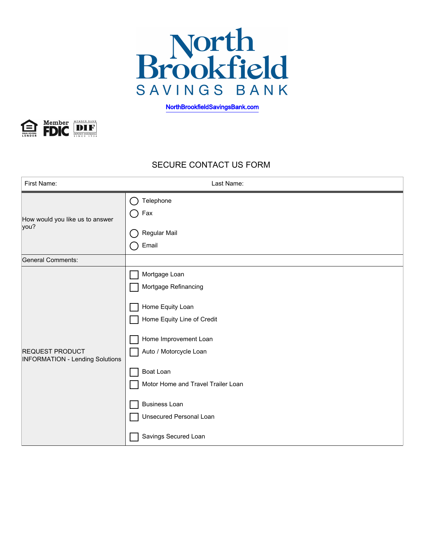

[NorthBrookfieldSavingsBank.com](https://www.northbrookfieldsavingsbank.com/)



## SECURE CONTACT US FORM

| First Name:                                                      | Last Name:                                                                                                                                                                                                                                                               |
|------------------------------------------------------------------|--------------------------------------------------------------------------------------------------------------------------------------------------------------------------------------------------------------------------------------------------------------------------|
| How would you like us to answer<br>you?                          | Telephone<br>Fax<br>Regular Mail                                                                                                                                                                                                                                         |
|                                                                  | Email                                                                                                                                                                                                                                                                    |
| <b>General Comments:</b>                                         |                                                                                                                                                                                                                                                                          |
| <b>REQUEST PRODUCT</b><br><b>INFORMATION - Lending Solutions</b> | Mortgage Loan<br>Mortgage Refinancing<br>Home Equity Loan<br>Home Equity Line of Credit<br>Home Improvement Loan<br>Auto / Motorcycle Loan<br>Boat Loan<br>Motor Home and Travel Trailer Loan<br><b>Business Loan</b><br>Unsecured Personal Loan<br>Savings Secured Loan |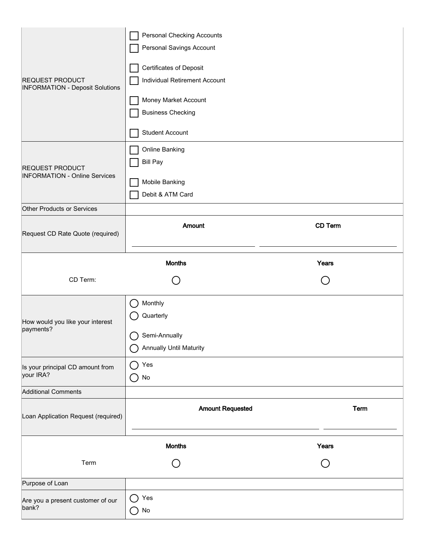| REQUEST PRODUCT<br><b>INFORMATION - Deposit Solutions</b> | <b>Personal Checking Accounts</b><br>Personal Savings Account<br><b>Certificates of Deposit</b><br>Individual Retirement Account<br>Money Market Account<br><b>Business Checking</b><br><b>Student Account</b> |             |  |  |  |
|-----------------------------------------------------------|----------------------------------------------------------------------------------------------------------------------------------------------------------------------------------------------------------------|-------------|--|--|--|
| REQUEST PRODUCT<br><b>INFORMATION - Online Services</b>   | Online Banking<br><b>Bill Pay</b><br>Mobile Banking<br>Debit & ATM Card                                                                                                                                        |             |  |  |  |
| <b>Other Products or Services</b>                         |                                                                                                                                                                                                                |             |  |  |  |
| Request CD Rate Quote (required)                          | Amount                                                                                                                                                                                                         | CD Term     |  |  |  |
|                                                           | <b>Months</b>                                                                                                                                                                                                  | Years       |  |  |  |
| CD Term:                                                  | $\overline{\phantom{a}}$                                                                                                                                                                                       |             |  |  |  |
|                                                           |                                                                                                                                                                                                                |             |  |  |  |
| How would you like your interest<br>payments?             | Monthly<br>$\mathcal{L}^{\mathcal{L}}$<br>Quarterly<br>Semi-Annually<br>∩<br><b>Annually Until Maturity</b>                                                                                                    |             |  |  |  |
| Is your principal CD amount from<br>your IRA?             | Yes<br>$\mathcal{L}$<br>No<br>$\left(\begin{array}{c} 1 \end{array}\right)$                                                                                                                                    |             |  |  |  |
| <b>Additional Comments</b>                                |                                                                                                                                                                                                                |             |  |  |  |
| Loan Application Request (required)                       | <b>Amount Requested</b>                                                                                                                                                                                        | <b>Term</b> |  |  |  |
|                                                           | <b>Months</b>                                                                                                                                                                                                  | Years       |  |  |  |
| Term                                                      | $\left( \begin{array}{c} \end{array} \right)$                                                                                                                                                                  |             |  |  |  |
| Purpose of Loan                                           |                                                                                                                                                                                                                |             |  |  |  |